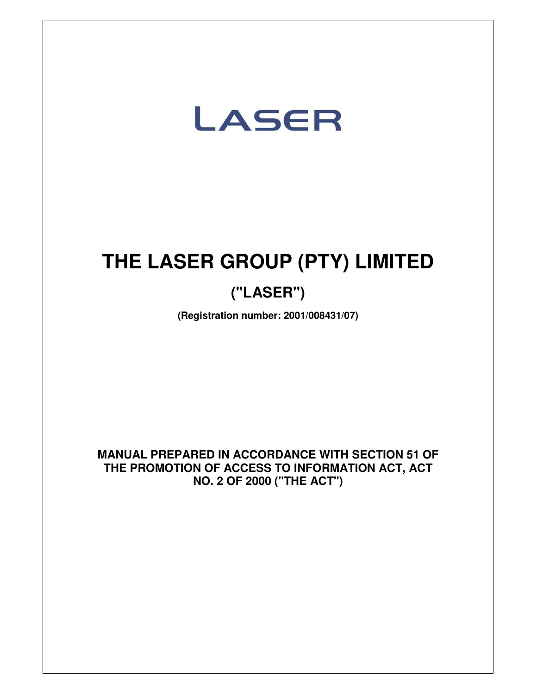

# **THE LASER GROUP (PTY) LIMITED**

## **("LASER")**

**(Registration number: 2001/008431/07)** 

**MANUAL PREPARED IN ACCORDANCE WITH SECTION 51 OF THE PROMOTION OF ACCESS TO INFORMATION ACT, ACT NO. 2 OF 2000 ("THE ACT")**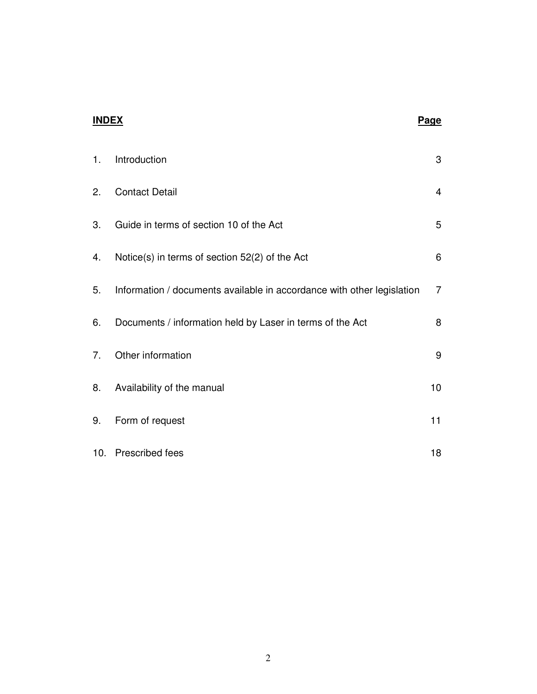#### **INDEX Page**

| 1. | Introduction                                                           | 3               |
|----|------------------------------------------------------------------------|-----------------|
| 2. | <b>Contact Detail</b>                                                  | $\overline{4}$  |
| 3. | Guide in terms of section 10 of the Act                                | 5               |
| 4. | Notice(s) in terms of section 52(2) of the Act                         | 6               |
| 5. | Information / documents available in accordance with other legislation | $\overline{7}$  |
| 6. | Documents / information held by Laser in terms of the Act              | 8               |
| 7. | Other information                                                      | 9               |
| 8. | Availability of the manual                                             | 10 <sub>1</sub> |
| 9. | Form of request                                                        | 11              |
|    | 10. Prescribed fees                                                    | 18              |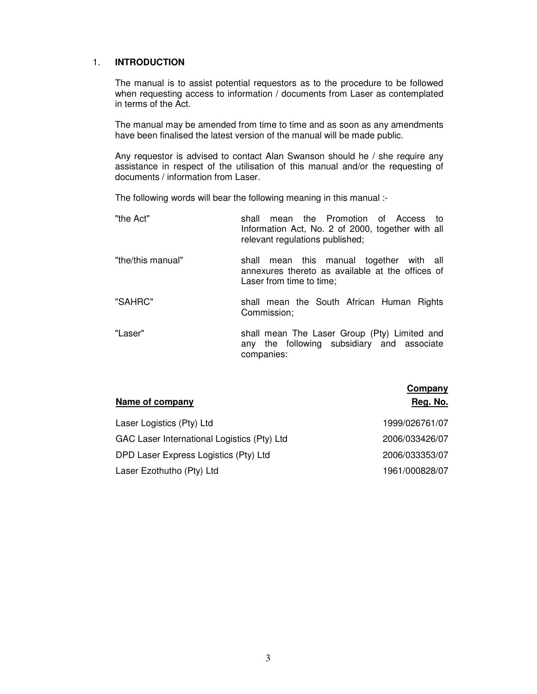#### 1. **INTRODUCTION**

The manual is to assist potential requestors as to the procedure to be followed when requesting access to information / documents from Laser as contemplated in terms of the Act.

The manual may be amended from time to time and as soon as any amendments have been finalised the latest version of the manual will be made public.

Any requestor is advised to contact Alan Swanson should he / she require any assistance in respect of the utilisation of this manual and/or the requesting of documents / information from Laser.

The following words will bear the following meaning in this manual :-

| "the Act"         | mean the Promotion of Access<br>shall<br>ി fo<br>Information Act, No. 2 of 2000, together with all<br>relevant regulations published; |
|-------------------|---------------------------------------------------------------------------------------------------------------------------------------|
| "the/this manual" | mean this manual together with all<br>shall<br>annexures thereto as available at the offices of<br>Laser from time to time:           |
| "SAHRC"           | shall mean the South African Human Rights<br>Commission;                                                                              |
| "Laser"           | shall mean The Laser Group (Pty) Limited and<br>any the following subsidiary and associate<br>companies:                              |

| Name of company                             | Company<br>Reg. No. |
|---------------------------------------------|---------------------|
| Laser Logistics (Pty) Ltd                   | 1999/026761/07      |
| GAC Laser International Logistics (Pty) Ltd | 2006/033426/07      |
| DPD Laser Express Logistics (Pty) Ltd       | 2006/033353/07      |
| Laser Ezothutho (Pty) Ltd                   | 1961/000828/07      |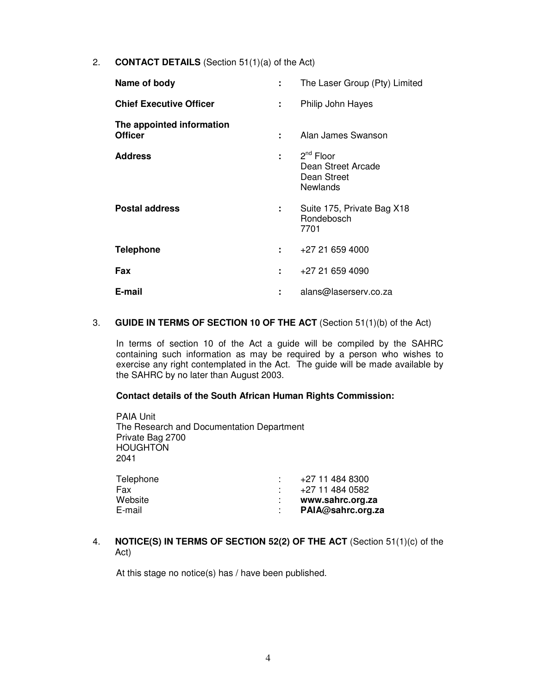2. **CONTACT DETAILS** (Section 51(1)(a) of the Act)

| Name of body                                | ÷  | The Laser Group (Pty) Limited                                            |
|---------------------------------------------|----|--------------------------------------------------------------------------|
| <b>Chief Executive Officer</b>              | ÷. | Philip John Hayes                                                        |
| The appointed information<br><b>Officer</b> | ÷  | Alan James Swanson                                                       |
| <b>Address</b>                              |    | $: 2^{nd}$ Floor<br>Dean Street Arcade<br>Dean Street<br><b>Newlands</b> |
| <b>Postal address</b>                       | ÷. | Suite 175, Private Bag X18<br>Rondebosch<br>7701                         |
| <b>Telephone</b>                            | ÷. | +27 21 659 4000                                                          |
| Fax                                         | ÷  | +27 21 659 4090                                                          |
| E-mail                                      |    | alans@laserserv.co.za                                                    |
|                                             |    |                                                                          |

#### 3. **GUIDE IN TERMS OF SECTION 10 OF THE ACT** (Section 51(1)(b) of the Act)

In terms of section 10 of the Act a guide will be compiled by the SAHRC containing such information as may be required by a person who wishes to exercise any right contemplated in the Act. The guide will be made available by the SAHRC by no later than August 2003.

#### **Contact details of the South African Human Rights Commission:**

PAIA Unit The Research and Documentation Department Private Bag 2700 **HOUGHTON** 2041

| +27 11 484 0582   |
|-------------------|
| www.sahrc.org.za  |
| PAIA@sahrc.org.za |
|                   |

4. **NOTICE(S) IN TERMS OF SECTION 52(2) OF THE ACT** (Section 51(1)(c) of the Act)

At this stage no notice(s) has / have been published.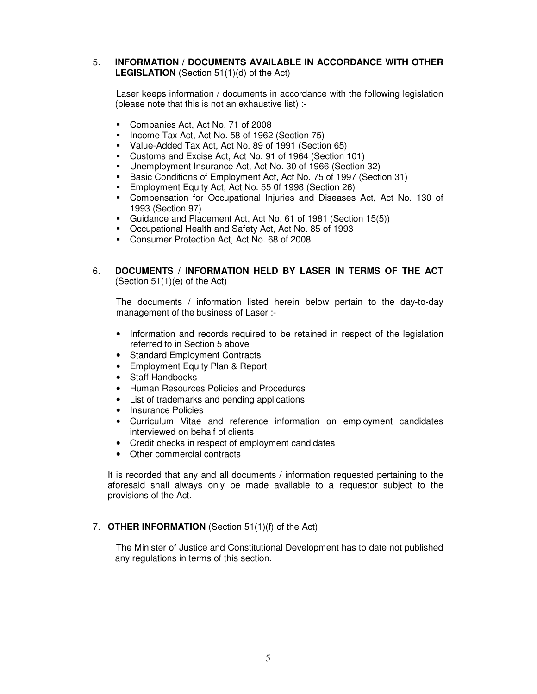#### 5. **INFORMATION / DOCUMENTS AVAILABLE IN ACCORDANCE WITH OTHER LEGISLATION** (Section 51(1)(d) of the Act)

Laser keeps information / documents in accordance with the following legislation (please note that this is not an exhaustive list) :-

- Companies Act, Act No. 71 of 2008
- Income Tax Act, Act No. 58 of 1962 (Section 75)
- Value-Added Tax Act, Act No. 89 of 1991 (Section 65)
- Customs and Excise Act, Act No. 91 of 1964 (Section 101)
- Unemployment Insurance Act, Act No. 30 of 1966 (Section 32)
- Basic Conditions of Employment Act, Act No. 75 of 1997 (Section 31)
- **Employment Equity Act, Act No. 55 0f 1998 (Section 26)**
- Compensation for Occupational Injuries and Diseases Act, Act No. 130 of 1993 (Section 97)
- Guidance and Placement Act, Act No. 61 of 1981 (Section 15(5))
- Occupational Health and Safety Act, Act No. 85 of 1993
- Consumer Protection Act, Act No. 68 of 2008

#### 6. **DOCUMENTS / INFORMATION HELD BY LASER IN TERMS OF THE ACT**  (Section 51(1)(e) of the Act)

The documents / information listed herein below pertain to the day-to-day management of the business of Laser :-

- Information and records required to be retained in respect of the legislation referred to in Section 5 above
- Standard Employment Contracts
- Employment Equity Plan & Report
- Staff Handbooks
- Human Resources Policies and Procedures
- List of trademarks and pending applications
- Insurance Policies
- Curriculum Vitae and reference information on employment candidates interviewed on behalf of clients
- Credit checks in respect of employment candidates
- Other commercial contracts

It is recorded that any and all documents / information requested pertaining to the aforesaid shall always only be made available to a requestor subject to the provisions of the Act.

#### 7. **OTHER INFORMATION** (Section 51(1)(f) of the Act)

The Minister of Justice and Constitutional Development has to date not published any regulations in terms of this section.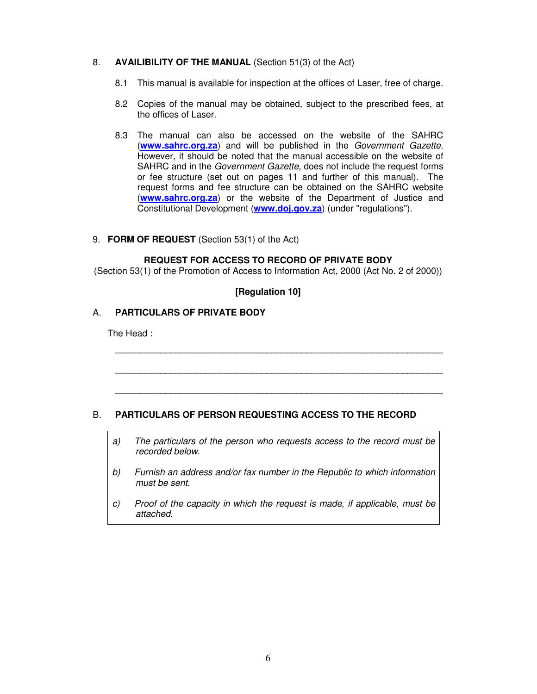#### 8. **AVAILIBILITY OF THE MANUAL** (Section 51(3) of the Act)

- 8.1 This manual is available for inspection at the offices of Laser, free of charge.
- 8.2 Copies of the manual may be obtained, subject to the prescribed fees, at the offices of Laser.
- 8.3 The manual can also be accessed on the website of the SAHRC (**www.sahrc.org.za**) and will be published in the Government Gazette. However, it should be noted that the manual accessible on the website of SAHRC and in the *Government Gazette*, does not include the request forms or fee structure (set out on pages 11 and further of this manual). The request forms and fee structure can be obtained on the SAHRC website (**www.sahrc.org.za**) or the website of the Department of Justice and Constitutional Development (**www.doj.gov.za**) (under "regulations").

#### 9. **FORM OF REQUEST** (Section 53(1) of the Act)

#### **REQUEST FOR ACCESS TO RECORD OF PRIVATE BODY**

(Section 53(1) of the Promotion of Access to Information Act, 2000 (Act No. 2 of 2000))

#### **[Regulation 10]**

\_\_\_\_\_\_\_\_\_\_\_\_\_\_\_\_\_\_\_\_\_\_\_\_\_\_\_\_\_\_\_\_\_\_\_\_\_\_\_\_\_\_\_\_\_\_\_\_\_\_\_\_\_\_\_\_\_\_\_\_\_\_\_\_\_

\_\_\_\_\_\_\_\_\_\_\_\_\_\_\_\_\_\_\_\_\_\_\_\_\_\_\_\_\_\_\_\_\_\_\_\_\_\_\_\_\_\_\_\_\_\_\_\_\_\_\_\_\_\_\_\_\_\_\_\_\_\_\_\_\_

\_\_\_\_\_\_\_\_\_\_\_\_\_\_\_\_\_\_\_\_\_\_\_\_\_\_\_\_\_\_\_\_\_\_\_\_\_\_\_\_\_\_\_\_\_\_\_\_\_\_\_\_\_\_\_\_\_\_\_\_\_\_\_\_\_

#### A. **PARTICULARS OF PRIVATE BODY**

The Head :

#### B. **PARTICULARS OF PERSON REQUESTING ACCESS TO THE RECORD**

- a) The particulars of the person who requests access to the record must be recorded below.
- b) Furnish an address and/or fax number in the Republic to which information must be sent.
- c) Proof of the capacity in which the request is made, if applicable, must be attached.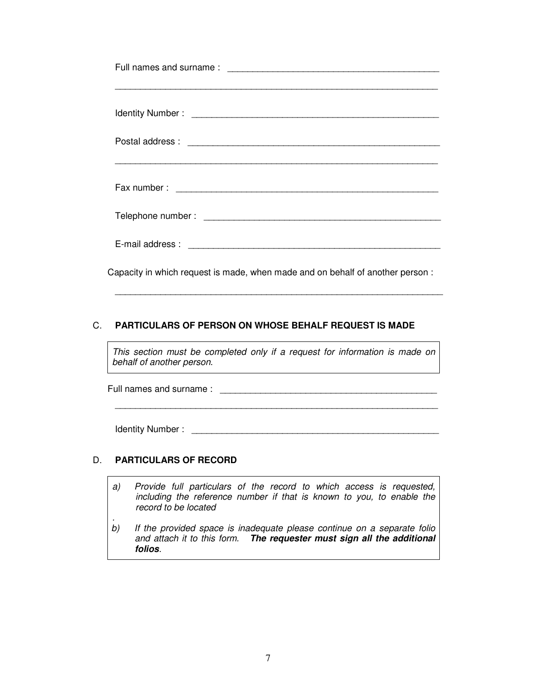| Capacity in which request is made, when made and on behalf of another person: |  |
|-------------------------------------------------------------------------------|--|

#### C. **PARTICULARS OF PERSON ON WHOSE BEHALF REQUEST IS MADE**

This section must be completed only if a request for information is made on behalf of another person.

\_\_\_\_\_\_\_\_\_\_\_\_\_\_\_\_\_\_\_\_\_\_\_\_\_\_\_\_\_\_\_\_\_\_\_\_\_\_\_\_\_\_\_\_\_\_\_\_\_\_\_\_\_\_\_\_\_\_\_\_\_\_\_\_\_

Full names and surname : \_\_\_\_\_\_\_\_\_\_\_\_\_\_\_\_\_\_\_\_\_\_\_\_\_\_\_\_\_\_\_\_\_\_\_\_\_\_\_\_\_\_\_

Identity Number : \_\_\_\_\_\_\_\_\_\_\_\_\_\_\_\_\_\_\_\_\_\_\_\_\_\_\_\_\_\_\_\_\_\_\_\_\_\_\_\_\_\_\_\_\_\_\_\_\_

\_\_\_\_\_\_\_\_\_\_\_\_\_\_\_\_\_\_\_\_\_\_\_\_\_\_\_\_\_\_\_\_\_\_\_\_\_\_\_\_\_\_\_\_\_\_\_\_\_\_\_\_\_\_\_\_\_\_\_\_\_\_\_\_

#### D. **PARTICULARS OF RECORD**

- a) Provide full particulars of the record to which access is requested, including the reference number if that is known to you, to enable the record to be located
- . b) If the provided space is inadequate please continue on a separate folio and attach it to this form. **The requester must sign all the additional folios**.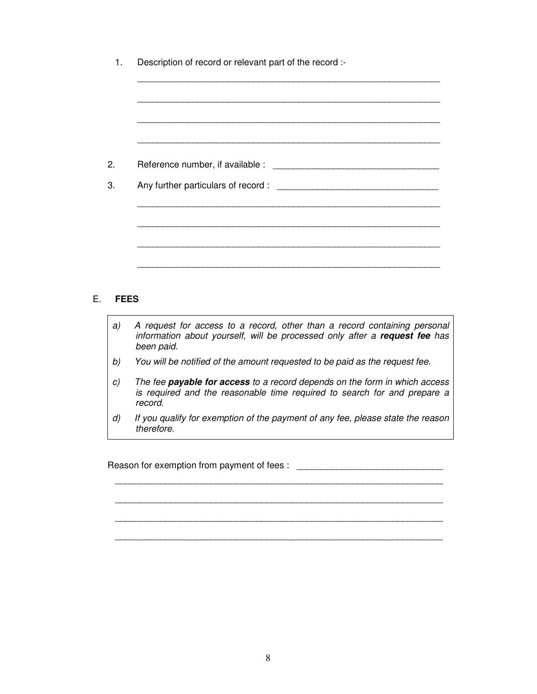#### E. **FEES**

- a) A request for access to a record, other than a record containing personal information about yourself, will be processed only after a **request fee** has been paid.
- b) You will be notified of the amount requested to be paid as the request fee.
- c) The fee **payable for access** to a record depends on the form in which access is required and the reasonable time required to search for and prepare a record.
- d) If you qualify for exemption of the payment of any fee, please state the reason therefore.

\_\_\_\_\_\_\_\_\_\_\_\_\_\_\_\_\_\_\_\_\_\_\_\_\_\_\_\_\_\_\_\_\_\_\_\_\_\_\_\_\_\_\_\_\_\_\_\_\_\_\_\_\_\_\_\_\_\_\_\_\_\_\_\_\_

\_\_\_\_\_\_\_\_\_\_\_\_\_\_\_\_\_\_\_\_\_\_\_\_\_\_\_\_\_\_\_\_\_\_\_\_\_\_\_\_\_\_\_\_\_\_\_\_\_\_\_\_\_\_\_\_\_\_\_\_\_\_\_\_\_

\_\_\_\_\_\_\_\_\_\_\_\_\_\_\_\_\_\_\_\_\_\_\_\_\_\_\_\_\_\_\_\_\_\_\_\_\_\_\_\_\_\_\_\_\_\_\_\_\_\_\_\_\_\_\_\_\_\_\_\_\_\_\_\_\_

 $\frac{1}{2}$  ,  $\frac{1}{2}$  ,  $\frac{1}{2}$  ,  $\frac{1}{2}$  ,  $\frac{1}{2}$  ,  $\frac{1}{2}$  ,  $\frac{1}{2}$  ,  $\frac{1}{2}$  ,  $\frac{1}{2}$  ,  $\frac{1}{2}$  ,  $\frac{1}{2}$  ,  $\frac{1}{2}$  ,  $\frac{1}{2}$  ,  $\frac{1}{2}$  ,  $\frac{1}{2}$  ,  $\frac{1}{2}$  ,  $\frac{1}{2}$  ,  $\frac{1}{2}$  ,  $\frac{1$ 

Reason for exemption from payment of fees : \_\_\_\_\_\_\_\_\_\_\_\_\_\_\_\_\_\_\_\_\_\_\_\_\_\_\_\_\_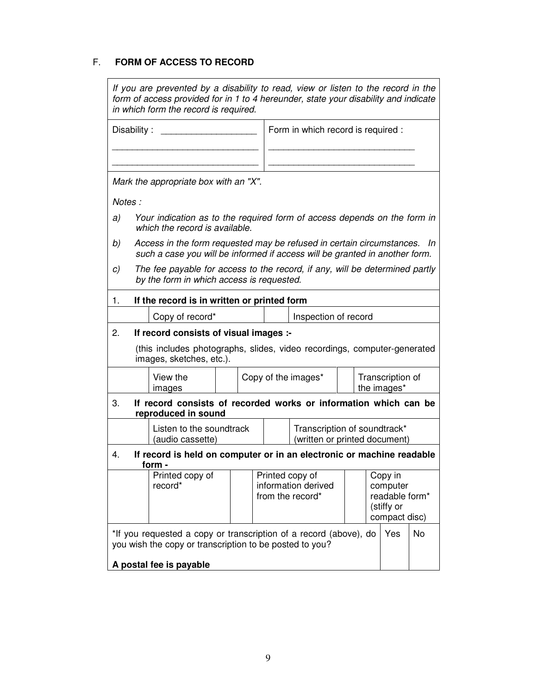### F. **FORM OF ACCESS TO RECORD**

| If you are prevented by a disability to read, view or listen to the record in the<br>form of access provided for in 1 to 4 hereunder, state your disability and indicate<br>in which form the record is required. |                                                                                                                                                         |  |                                                               |                      |                                                                      |  |                                 |    |
|-------------------------------------------------------------------------------------------------------------------------------------------------------------------------------------------------------------------|---------------------------------------------------------------------------------------------------------------------------------------------------------|--|---------------------------------------------------------------|----------------------|----------------------------------------------------------------------|--|---------------------------------|----|
| Disability:                                                                                                                                                                                                       |                                                                                                                                                         |  | Form in which record is required :                            |                      |                                                                      |  |                                 |    |
|                                                                                                                                                                                                                   | Mark the appropriate box with an "X".                                                                                                                   |  |                                                               |                      |                                                                      |  |                                 |    |
| Notes:                                                                                                                                                                                                            |                                                                                                                                                         |  |                                                               |                      |                                                                      |  |                                 |    |
| a)                                                                                                                                                                                                                | Your indication as to the required form of access depends on the form in<br>which the record is available.                                              |  |                                                               |                      |                                                                      |  |                                 |    |
| b)                                                                                                                                                                                                                | Access in the form requested may be refused in certain circumstances. In<br>such a case you will be informed if access will be granted in another form. |  |                                                               |                      |                                                                      |  |                                 |    |
| C)                                                                                                                                                                                                                | The fee payable for access to the record, if any, will be determined partly<br>by the form in which access is requested.                                |  |                                                               |                      |                                                                      |  |                                 |    |
| 1.                                                                                                                                                                                                                | If the record is in written or printed form                                                                                                             |  |                                                               |                      |                                                                      |  |                                 |    |
|                                                                                                                                                                                                                   | Copy of record*                                                                                                                                         |  |                                                               | Inspection of record |                                                                      |  |                                 |    |
| 2.                                                                                                                                                                                                                | If record consists of visual images :-                                                                                                                  |  |                                                               |                      |                                                                      |  |                                 |    |
|                                                                                                                                                                                                                   | (this includes photographs, slides, video recordings, computer-generated<br>images, sketches, etc.).                                                    |  |                                                               |                      |                                                                      |  |                                 |    |
|                                                                                                                                                                                                                   | View the<br>images                                                                                                                                      |  |                                                               | Copy of the images*  |                                                                      |  | Transcription of<br>the images* |    |
| 3.                                                                                                                                                                                                                | If record consists of recorded works or information which can be<br>reproduced in sound                                                                 |  |                                                               |                      |                                                                      |  |                                 |    |
|                                                                                                                                                                                                                   | Listen to the soundtrack<br>(audio cassette)                                                                                                            |  | Transcription of soundtrack*<br>(written or printed document) |                      |                                                                      |  |                                 |    |
| 4.                                                                                                                                                                                                                | If record is held on computer or in an electronic or machine readable<br>form -                                                                         |  |                                                               |                      |                                                                      |  |                                 |    |
|                                                                                                                                                                                                                   | Printed copy of<br>record*                                                                                                                              |  | Printed copy of<br>information derived<br>from the record*    |                      | Copy in<br>computer<br>readable form*<br>(stiffy or<br>compact disc) |  |                                 |    |
|                                                                                                                                                                                                                   | *If you requested a copy or transcription of a record (above), do<br>you wish the copy or transcription to be posted to you?                            |  |                                                               |                      |                                                                      |  | Yes                             | No |
| A postal fee is payable                                                                                                                                                                                           |                                                                                                                                                         |  |                                                               |                      |                                                                      |  |                                 |    |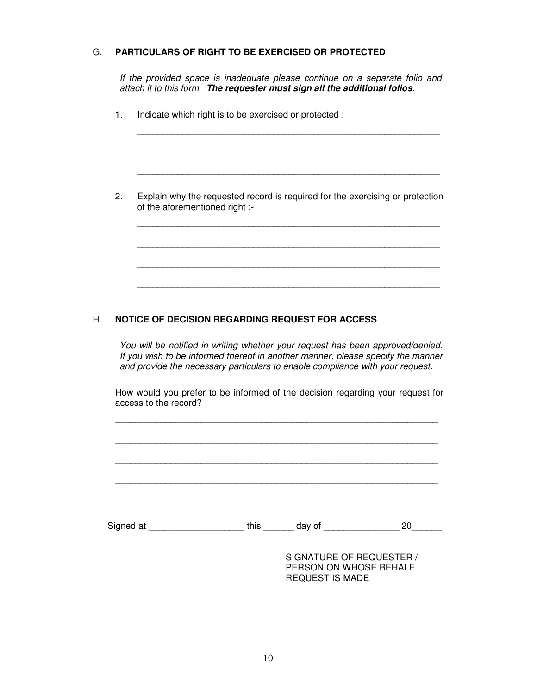#### G. **PARTICULARS OF RIGHT TO BE EXERCISED OR PROTECTED**

If the provided space is inadequate please continue on a separate folio and attach it to this form. **The requester must sign all the additional folios.**

 $\frac{1}{2}$  ,  $\frac{1}{2}$  ,  $\frac{1}{2}$  ,  $\frac{1}{2}$  ,  $\frac{1}{2}$  ,  $\frac{1}{2}$  ,  $\frac{1}{2}$  ,  $\frac{1}{2}$  ,  $\frac{1}{2}$  ,  $\frac{1}{2}$  ,  $\frac{1}{2}$  ,  $\frac{1}{2}$  ,  $\frac{1}{2}$  ,  $\frac{1}{2}$  ,  $\frac{1}{2}$  ,  $\frac{1}{2}$  ,  $\frac{1}{2}$  ,  $\frac{1}{2}$  ,  $\frac{1$ 

\_\_\_\_\_\_\_\_\_\_\_\_\_\_\_\_\_\_\_\_\_\_\_\_\_\_\_\_\_\_\_\_\_\_\_\_\_\_\_\_\_\_\_\_\_\_\_\_\_\_\_\_\_\_\_\_\_\_\_\_

 $\frac{1}{2}$  ,  $\frac{1}{2}$  ,  $\frac{1}{2}$  ,  $\frac{1}{2}$  ,  $\frac{1}{2}$  ,  $\frac{1}{2}$  ,  $\frac{1}{2}$  ,  $\frac{1}{2}$  ,  $\frac{1}{2}$  ,  $\frac{1}{2}$  ,  $\frac{1}{2}$  ,  $\frac{1}{2}$  ,  $\frac{1}{2}$  ,  $\frac{1}{2}$  ,  $\frac{1}{2}$  ,  $\frac{1}{2}$  ,  $\frac{1}{2}$  ,  $\frac{1}{2}$  ,  $\frac{1$ 

 $\frac{1}{2}$  ,  $\frac{1}{2}$  ,  $\frac{1}{2}$  ,  $\frac{1}{2}$  ,  $\frac{1}{2}$  ,  $\frac{1}{2}$  ,  $\frac{1}{2}$  ,  $\frac{1}{2}$  ,  $\frac{1}{2}$  ,  $\frac{1}{2}$  ,  $\frac{1}{2}$  ,  $\frac{1}{2}$  ,  $\frac{1}{2}$  ,  $\frac{1}{2}$  ,  $\frac{1}{2}$  ,  $\frac{1}{2}$  ,  $\frac{1}{2}$  ,  $\frac{1}{2}$  ,  $\frac{1$ 

 $\frac{1}{2}$  ,  $\frac{1}{2}$  ,  $\frac{1}{2}$  ,  $\frac{1}{2}$  ,  $\frac{1}{2}$  ,  $\frac{1}{2}$  ,  $\frac{1}{2}$  ,  $\frac{1}{2}$  ,  $\frac{1}{2}$  ,  $\frac{1}{2}$  ,  $\frac{1}{2}$  ,  $\frac{1}{2}$  ,  $\frac{1}{2}$  ,  $\frac{1}{2}$  ,  $\frac{1}{2}$  ,  $\frac{1}{2}$  ,  $\frac{1}{2}$  ,  $\frac{1}{2}$  ,  $\frac{1$ 

 $\frac{1}{2}$  ,  $\frac{1}{2}$  ,  $\frac{1}{2}$  ,  $\frac{1}{2}$  ,  $\frac{1}{2}$  ,  $\frac{1}{2}$  ,  $\frac{1}{2}$  ,  $\frac{1}{2}$  ,  $\frac{1}{2}$  ,  $\frac{1}{2}$  ,  $\frac{1}{2}$  ,  $\frac{1}{2}$  ,  $\frac{1}{2}$  ,  $\frac{1}{2}$  ,  $\frac{1}{2}$  ,  $\frac{1}{2}$  ,  $\frac{1}{2}$  ,  $\frac{1}{2}$  ,  $\frac{1$ 

 $\frac{1}{2}$  ,  $\frac{1}{2}$  ,  $\frac{1}{2}$  ,  $\frac{1}{2}$  ,  $\frac{1}{2}$  ,  $\frac{1}{2}$  ,  $\frac{1}{2}$  ,  $\frac{1}{2}$  ,  $\frac{1}{2}$  ,  $\frac{1}{2}$  ,  $\frac{1}{2}$  ,  $\frac{1}{2}$  ,  $\frac{1}{2}$  ,  $\frac{1}{2}$  ,  $\frac{1}{2}$  ,  $\frac{1}{2}$  ,  $\frac{1}{2}$  ,  $\frac{1}{2}$  ,  $\frac{1$ 

1. Indicate which right is to be exercised or protected :

2. Explain why the requested record is required for the exercising or protection of the aforementioned right :-

#### H. **NOTICE OF DECISION REGARDING REQUEST FOR ACCESS**

You will be notified in writing whether your request has been approved/denied. If you wish to be informed thereof in another manner, please specify the manner and provide the necessary particulars to enable compliance with your request.

 How would you prefer to be informed of the decision regarding your request for access to the record?

\_\_\_\_\_\_\_\_\_\_\_\_\_\_\_\_\_\_\_\_\_\_\_\_\_\_\_\_\_\_\_\_\_\_\_\_\_\_\_\_\_\_\_\_\_\_\_\_\_\_\_\_\_\_\_\_\_\_\_\_\_\_\_\_

\_\_\_\_\_\_\_\_\_\_\_\_\_\_\_\_\_\_\_\_\_\_\_\_\_\_\_\_\_\_\_\_\_\_\_\_\_\_\_\_\_\_\_\_\_\_\_\_\_\_\_\_\_\_\_\_\_\_\_\_\_\_\_\_

\_\_\_\_\_\_\_\_\_\_\_\_\_\_\_\_\_\_\_\_\_\_\_\_\_\_\_\_\_\_\_\_\_\_\_\_\_\_\_\_\_\_\_\_\_\_\_\_\_\_\_\_\_\_\_\_\_\_\_\_\_\_\_\_

\_\_\_\_\_\_\_\_\_\_\_\_\_\_\_\_\_\_\_\_\_\_\_\_\_\_\_\_\_\_\_\_\_\_\_\_\_\_\_\_\_\_\_\_\_\_\_\_\_\_\_\_\_\_\_\_\_\_\_\_\_\_\_\_

Signed at \_\_\_\_\_\_\_\_\_\_\_\_\_\_\_\_\_\_\_\_\_\_\_\_\_this \_\_\_\_\_\_\_ day of \_\_\_\_\_\_\_\_\_\_\_\_\_\_\_\_\_\_\_ 20\_\_\_\_\_\_\_\_\_

 $\overline{\phantom{a}}$  , and the contract of the contract of the contract of the contract of the contract of the contract of the contract of the contract of the contract of the contract of the contract of the contract of the contrac

SIGNATURE OF REQUESTER / PERSON ON WHOSE BEHALF REQUEST IS MADE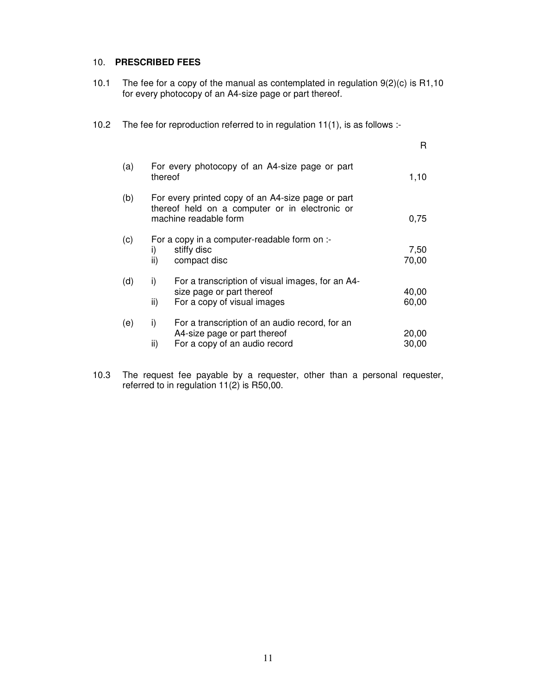#### 10. **PRESCRIBED FEES**

- 10.1 The fee for a copy of the manual as contemplated in regulation 9(2)(c) is R1,10 for every photocopy of an A4-size page or part thereof.
- 10.2 The fee for reproduction referred to in regulation 11(1), is as follows :-

|     |                                                                                                                              | R              |
|-----|------------------------------------------------------------------------------------------------------------------------------|----------------|
| (a) | For every photocopy of an A4-size page or part<br>thereof                                                                    | 1,10           |
| (b) | For every printed copy of an A4-size page or part<br>thereof held on a computer or in electronic or<br>machine readable form | 0,75           |
| (c) | For a copy in a computer-readable form on :-<br>stiffy disc<br>i)<br>ii)<br>compact disc                                     | 7,50<br>70,00  |
| (d) | For a transcription of visual images, for an A4-<br>i)<br>size page or part thereof<br>For a copy of visual images<br>ii)    | 40,00<br>60,00 |
| (e) | For a transcription of an audio record, for an<br>i)<br>A4-size page or part thereof<br>For a copy of an audio record<br>ii) | 20,00<br>30,00 |

10.3 The request fee payable by a requester, other than a personal requester, referred to in regulation 11(2) is R50,00.